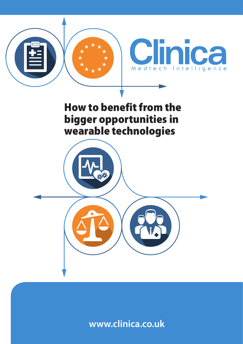

**www.clinica.co.uk**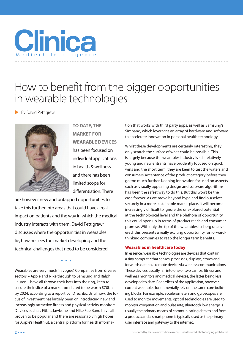

# How to benefit from the bigger opportunities in wearable technologies

By David Pettigrew



**TO DATE, THE market for wearable devices** has been focused on individual applications in health & wellness and there has been limited scope for differentiation. There

are however new and untapped opportunities to take this further into areas that could have a real impact on patients and the way in which the medical industry interacts with them. David Pettigrew\* discusses where the opportunities in wearables lie, how he sees the market developing and the technical challenges that need to be considered

 $\bullet$   $\bullet$   $\bullet$ 

Wearables are very much 'in vogue'. Companies from diverse sectors – Apple and Nike through to Samsung and Ralph Lauren – have all thrown their hats into the ring, keen to secure their slice of a market predicted to be worth \$70bn by 2024, according to a report by IDTechEx. Until now, the focus of investment has largely been on introducing new and increasingly attractive fitness and physical activity monitors. Devices such as Fitbit, Jawbone and Nike FuelBand have all proven to be popular and there are reasonably high hopes for Apple's HealthKit, a central platform for health information that works with third party apps, as well as Samsung's Simband, which leverages an array of hardware and software to accelerate innovation in personal health technology.

Whilst these developments are certainly interesting, they only scratch the surface of what could be possible. This is largely because the wearables industry is still relatively young and new entrants have prudently focused on quick wins and the short term; they are keen to test the waters and consumers' acceptance of the product category before they go too much further. Keeping innovation focused on aspects such as visually appealing design and software algorithms has been the safest way to do this. But this won't be the case forever. As we move beyond hype and find ourselves securely in a more sustainable marketplace, it will become increasingly difficult to ignore the unexplored potential at the technological level and the plethora of opportunity this could open up in terms of product reach and consumer promise. With only the tip of the wearables iceberg uncovered, this presents a really exciting opportunity for forwardthinking companies to reap the longer term benefits.

# **Wearables in healthcare today**

In essence, wearable technologies are devices that contain a tiny computer that senses, processes, displays, stores and forwards data to a remote device via wireless communications. These devices usually fall into one of two camps: fitness and wellness monitors and medical devices, the latter being less developed to date. Regardless of the application, however, current wearables fundamentally rely on the same core building blocks. For example, accelerometers and gyroscopes are used to monitor movements; optical technologies are used to monitor oxygenation and pulse rate; Bluetooth low energy is usually the primary means of communicating data to and from a product; and a smart phone is typically used as the primary user interface and gateway to the internet.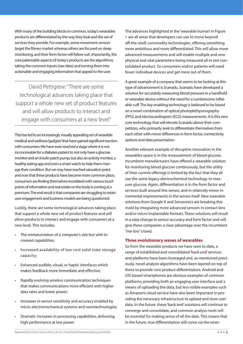With many of the building blocks in common, today's wearables products are differentiated by the way they look and the set of services they provide. For example, some movement sensors target the fitness market whereas others are focused on sleep monitoring, and their form factor will follow suit. Importantly, the core patentable aspects of today's products are the algorithms; taking the common inputs (raw data) and turning them into actionable and engaging information that appeal to the user.

David Pettigrew: "There are some technological advances taking place that support a whole new set of product features and will allow products to interact and engage with consumers at a new level"

This has led to an increasingly visually appealing set of wearable medical and wellness 'gadgets' that have gained significant traction with consumers. We have even reached a stage where it is not inconceivable for a diabetes patient to not only have a glucose monitor and an insulin patch pump, but also an activity monitor, a healthy eating app and even a smart watch to help them manage their condition. But we may have reached saturation point and now that these products have become more common place, consumers are finding themselves inundated with various touch points of information and real estate on the body is coming at a premium. The end result is that companies are struggling to retain user engagement and business models are being questioned.

Luckily, there are some technological advances taking place that support a whole new set of product features and will allow products to interact and engage with consumers at a new level. This includes:

- • The miniaturization of a computer's size but with increased capabilities;
- • Increased availability of low cost solid state storage capacity;
- • Enhanced audible, visual, or haptic interfaces which makes feedback more immediate and effective;
- • Rapidly evolving wireless communication techniques that makes communications more efficient with higher data rates and lower power;
- • Increases in sensor sensitivity and accuracy enabled by micro-electromechanical systems and nanotechnologies;
- • Dramatic increases in processing capabilities, delivering high performance at low power

The advances highlighted in the 'wearable human' in Figure 1 are all areas that developers can use to move beyond off-the-shelf, commodity technologies, offering something more ambitious and more differentiated. This will allow more advanced measurements and will enable multiple and new physical and vital parameters being measured all in one consolidated product. So consumers and/or patients will need fewer individual devices and get more out of them.

A great example of a company that seems to be looking at this type of advancement is Scanadu. Scanadu have developed a solution for accurately measuring blood pressure in a handheld or wearable device without the need for a cumbersome inflatable cuff. The key enabling technology is believed to be based on a novel combination of optical photoplethysmography (PPG) and electrocardiogram (ECG) measurements. It is this new core technology that will elevate Scanadu above their competitors, who primarily seek to differentiate themselves from each other with minor differences in form factor, connectivity options and data presentation.

Another relevant example of disruptive innovation in the wearables space is in the measurement of blood glucose. Incumbent manufacturers have offered a wearable solution for monitoring blood glucose continuously, but the utility of their current offerings is limited by the fact that they all use the same legacy electrochemical technology to measure glucose. Again, differentiation is in the form factor and services built around this sensor, and in relatively minor incremental improvements in the sensor itself. New wearable solutions from Google X and Senseonics are breaking this mold by integrating more advanced sensors in contact lens and/or micro-implantable formats. These solutions will result in a step change in sensor accuracy and form factor and will give these companies a clear advantage over the incumbent "me-too" crowd.

# **Three evolutionary waves of wearables**

So from the wearable products we have seen to date, a range of established and consolidated 'back end' services and platforms have been leveraged and, as mentioned previously, novel analysis algorithms have been layered on top of these to provide core product differentiators. Android and iOS-based smartphones are obvious examples of common platforms; providing both an engaging user interface and a means of uploading the data, but less visible examples such as Amazon's cloud service have also been important in providing the necessary infrastructure to upload and store user data. In the future, these 'back end' solutions will continue to converge and consolidate, and common analysis tools will be essential for making sense of all the data. This means that in the future, true differentiation will come via the emer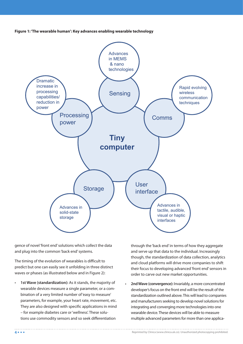**Figure 1: 'The wearable human': Key advances enabling wearable technology**



gence of novel 'front end' solutions which collect the data and plug into the common 'back end' systems.

The timing of the evolution of wearables is difficult to predict but one can easily see it unfolding in three distinct waves or phases (as illustrated below and in Figure 2):

• **1st Wave (standardization):** As it stands, the majority of wearable devices measure a single parameter, or a combination of a very limited number of 'easy to measure' parameters, for example, your heart rate, movement, etc. They are also designed with specific applications in mind – for example diabetes care or 'wellness'. These solutions use commodity sensors and so seek differentiation

through the 'back end' in terms of how they aggregate and serve up that data to the individual. Increasingly though, the standardization of data collection, analytics and cloud platforms will drive more companies to shift their focus to developing advanced 'front end' sensors in order to carve out new market opportunities.

2nd Wave (convergence): Invariably, a more concentrated developer's focus on the front end will be the result of the standardization outlined above. This will lead to companies and manufacturers seeking to develop novel solutions for integrating and converging more technologies into one wearable device. These devices will be able to measure multiple advanced parameters for more than one applica-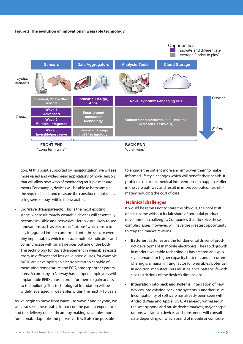#### **Figure 2: The evolution of innovation in wearable technology**



tion. At this point, supported by miniaturization, we will see more varied and wide-spread applications of novel sensors that will allow new ways of monitoring multiple measurements. For example, devices will be able to both sample the required fluids and measure the constituent molecules using sensor arrays within the wearable.

• **3rd Wave (transparency):** This is the most exciting stage, where ultimately wearable devices will essentially become invisible and pervasive. Here we are likely to see innovations such as electronic "tattoos" which are actually integrated into or conformed onto the skin, or even tiny implantables which measure multiple indicators and communicate with smart devices outside of the body. The technology for this advancement in wearables exists today in different and less developed guises, for example MC10 are developing an electronic tattoo capable of measuring temperature and ECG, amongst other parameters. A company in Norway has chipped employees with implantable RFID chips in order for them to gain access to the building. This technological foundation will be widely leveraged in wearables within the next 7-10 years.

As we begin to move from wave 1 to wave 2 and beyond, we will also see a measurable impact on the patient experience and the delivery of healthcare- by making wearables more functional, adaptable and pervasive. It will also be possible

to engage the patient more and empower them to make informed lifestyle changes which will benefit their health. If problems do occur, medical intervention can happen earlier in the care pathway and result in improved outcomes, ultimately reducing the cost of care.

## **Technical challenges**

It would be remiss not to state the obvious; the cool stuff doesn't come without its fair share of potential product development challenges. Companies that do solve these complex issues, however, will have the greatest opportunity to reap the market rewards.

- **Batteries:** Batteries are the fundamental driver of product development in mobile electronics. The rapid growth in modern wearable technologies has created an explosive demand for higher capacity batteries and its current offering is a major limiting factor for wearables' potential. In addition, manufacturers must balance battery life with size restrictions of the device's dimensions.
- **Integration into back end systems:** Integration of new devices into existing back-end systems is another issue. Incompatibility of software has already been seen with Android Wear and Apple iOS 8. As already witnessed in the smartphone and music device markets, major corporations will launch devices and consumers will consolidate depending on which brand of mobile or computer